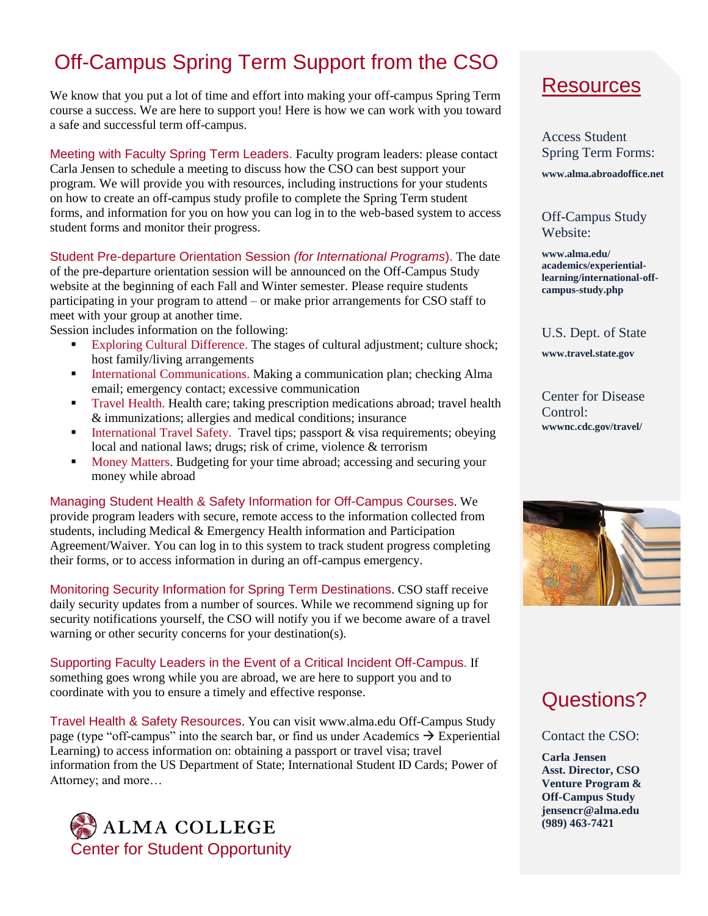## Off-Campus Spring Term Support from the CSO

We know that you put a lot of time and effort into making your off-campus Spring Term course a success. We are here to support you! Here is how we can work with you toward a safe and successful term off-campus.

Meeting with Faculty Spring Term Leaders. Faculty program leaders: please contact Carla Jensen to schedule a meeting to discuss how the CSO can best support your program. We will provide you with resources, including instructions for your students on how to create an off-campus study profile to complete the Spring Term student forms, and information for you on how you can log in to the web-based system to access student forms and monitor their progress.

Student Pre-departure Orientation Session *(for International Programs*). The date of the pre-departure orientation session will be announced on the Off-Campus Study website at the beginning of each Fall and Winter semester. Please require students participating in your program to attend – or make prior arrangements for CSO staff to meet with your group at another time.

Session includes information on the following:

- Exploring Cultural Difference. The stages of cultural adjustment; culture shock; host family/living arrangements
- International Communications. Making a communication plan; checking Alma email; emergency contact; excessive communication
- Travel Health. Health care; taking prescription medications abroad; travel health & immunizations; allergies and medical conditions; insurance
- International Travel Safety. Travel tips; passport  $\&$  visa requirements; obeying local and national laws; drugs; risk of crime, violence & terrorism
- **Money Matters. Budgeting for your time abroad; accessing and securing your** money while abroad

Managing Student Health & Safety Information for Off-Campus Courses. We provide program leaders with secure, remote access to the information collected from students, including Medical & Emergency Health information and Participation Agreement/Waiver. You can log in to this system to track student progress completing their forms, or to access information in during an off-campus emergency.

Monitoring Security Information for Spring Term Destinations. CSO staff receive daily security updates from a number of sources. While we recommend signing up for security notifications yourself, the CSO will notify you if we become aware of a travel warning or other security concerns for your destination(s).

Supporting Faculty Leaders in the Event of a Critical Incident Off-Campus. If something goes wrong while you are abroad, we are here to support you and to coordinate with you to ensure a timely and effective response.

Travel Health & Safety Resources. You can visit www.alma.edu Off-Campus Study page (type "off-campus" into the search bar, or find us under Academics  $\rightarrow$  Experiential Learning) to access information on: obtaining a passport or travel visa; travel information from the US Department of State; International Student ID Cards; Power of Attorney; and more…



## Resources

Access Student Spring Term Forms:

**www.alma.abroadoffice.net**

Off-Campus Study Website:

**www.alma.edu/ academics/experientiallearning/international-offcampus-study.php**

U.S. Dept. of State **www.travel.state.gov**

Center for Disease Control: **wwwnc.cdc.gov/travel/**



## Questions?

Contact the CSO:

**Carla Jensen Asst. Director, CSO Venture Program & Off-Campus Study jensencr@alma.edu (989) 463-7421**